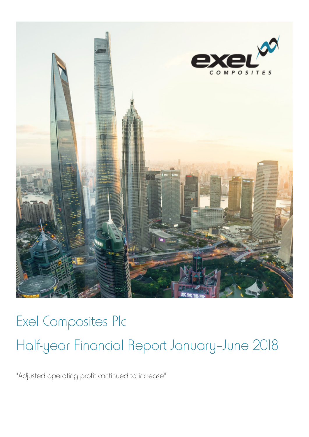

# Exel Composites Plc Half-year Financial Report January–June 2018

"Adjusted operating profit continued to increase"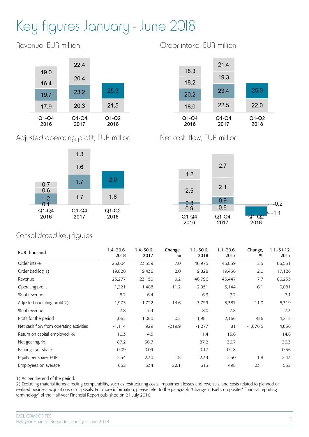# Key figures January - June 2018

Revenue, EUR million



Adjusted operating profit, EUR million



Order intake, EUR million



Net cash flow, EUR million



## Consolidated key figures

| <b>EUR thousand</b>                     | $1.4 - 30.6$ .<br>2018 | $1.4 - 30.6.$<br>2017 | Change,<br>$\frac{0}{0}$ | $1.1 - 30.6$ .<br>2018 | $1.1 - 30.6$ .<br>2017 | Change,<br>$\frac{0}{0}$ | $1.1 - 31.12.$<br>2017 |
|-----------------------------------------|------------------------|-----------------------|--------------------------|------------------------|------------------------|--------------------------|------------------------|
| Order intake                            | 25,004                 | 23,359                | 7.0                      | 46,975                 | 45,839                 | 2.5                      | 86,531                 |
| Order backlog 1)                        | 19,828                 | 19,436                | 2.0                      | 19,828                 | 19,436                 | 2.0                      | 17,126                 |
| Revenue                                 | 25,277                 | 23,150                | 9.2                      | 46,796                 | 43,447                 | 7.7                      | 86,255                 |
| Operating profit                        | 1,321                  | 1,488                 | $-11.2$                  | 2,951                  | 3,144                  | $-6.1$                   | 6,081                  |
| % of revenue                            | 5.2                    | 6.4                   |                          | 6.3                    | 7.2                    |                          | 7.1                    |
| Adjusted operating profit 2)            | 1,973                  | 1,722                 | 14.6                     | 3,759                  | 3,387                  | 11.0                     | 6,319                  |
| % of revenue                            | 7.8                    | 7.4                   |                          | 8.0                    | 7.8                    |                          | 7.3                    |
| Profit for the period                   | 1,062                  | 1,060                 | 0.2                      | 1,981                  | 2,166                  | $-8.6$                   | 4,212                  |
| Net cash flow from operating activities | $-1,114$               | 929                   | $-219.9$                 | $-1,277$               | 81                     | $-1,676.5$               | 4,856                  |
| Return on capital employed, %           | 10.3                   | 14.5                  |                          | 11.4                   | 15.6                   |                          | 14.8                   |
| Net gearing, %                          | 87.2                   | 36.7                  |                          | 87.2                   | 36.7                   |                          | 30.3                   |
| Earnings per share                      | 0.09                   | 0.09                  |                          | 0.17                   | 0.18                   |                          | 0.36                   |
| Equity per share, EUR                   | 2.34                   | 2.30                  | 1.8                      | 2.34                   | 2.30                   | 1.8                      | 2.43                   |
| Employees on average                    | 652                    | 534                   | 22.1                     | 613                    | 498                    | 23.1                     | 532                    |

1) As per the end of the period.

2) Excluding material items affecting comparability, such as restructuring costs, impairment losses and reversals, and costs related to planned or realized business acquisitions or disposals. For more information, please refer to the paragraph "Change in Exel Composites' financial reporting terminology" of the Half-year Financial Report published on 21 July 2016.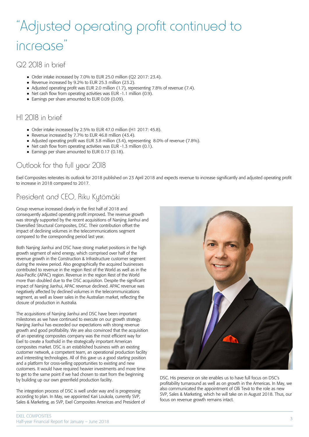# "Adjusted operating profit continued to increase"

#### Q2 2018 in brief

- Order intake increased by 7.0% to EUR 25.0 million (Q2 2017: 23.4).
- Revenue increased by 9.2% to EUR 25.3 million (23.2).
- Adjusted operating profit was EUR 2.0 million (1.7), representing 7.8% of revenue (7.4).
- $\bullet$  Net cash flow from operating activities was EUR -1.1 million (0.9).
- Earnings per share amounted to EUR 0.09 (0.09).

### H1 2018 in brief

- Order intake increased by 2.5% to EUR 47.0 million (H1 2017: 45.8).
- Revenue increased by 7.7% to EUR 46.8 million (43.4).
- Adjusted operating profit was EUR 3.8 million (3.4), representing 8.0% of revenue (7.8%).
- Net cash flow from operating activities was EUR -1.3 million (0.1).
- Earnings per share amounted to EUR 0.17 (0.18).

# Outlook for the full year 2018

Exel Composites reiterates its outlook for 2018 published on 23 April 2018 and expects revenue to increase significantly and adjusted operating profit to increase in 2018 compared to 2017.

# President and CEO, Riku Kytömäki

Group revenue increased clearly in the first half of 2018 and consequently adjusted operating profit improved. The revenue growth was strongly supported by the recent acquisitions of Nanjing Jianhui and Diversified Structural Composites, DSC. Their contribution offset the impact of declining volumes in the telecommunications segment compared to the corresponding period last year.

Both Nanjing Jianhui and DSC have strong market positions in the high growth segment of wind energy, which comprised over half of the revenue growth in the Construction & Infrastructure customer segment during the review period. Also geographically the acquired businesses contributed to revenue in the region Rest of the World as well as in the Asia-Pacific (APAC) region. Revenue in the region Rest of the World more than doubled due to the DSC acquisition. Despite the significant impact of Nanjing Jianhui, APAC revenue declined. APAC revenue was negatively affected by declined volumes in the telecommunications segment, as well as lower sales in the Australian market, reflecting the closure of production in Australia.

The acquisitions of Nanjing Jianhui and DSC have been important milestones as we have continued to execute on our growth strategy. Nanjing Jianhui has exceeded our expectations with strong revenue growth and good profitability. We are also convinced that the acquisition of an operating composites company was the most efficient way for Exel to create a foothold in the strategically important American composites market. DSC is an established business with an existing customer network, a competent team, an operational production facility and interesting technologies. All of this gave us a good starting position and a platform for cross-selling opportunities to existing and new customers. It would have required heavier investments and more time to get to the same point if we had chosen to start from the beginning by building up our own greenfield production facility.

The integration process of DSC is well under way and is progressing according to plan. In May, we appointed Kari Loukola, currently SVP, Sales & Marketing, as SVP, Exel Composites Americas and President of



DSC. His presence on site enables us to have full focus on DSC's profitability turnaround as well as on growth in the Americas. In May, we also communicated the appointment of Olli Tevä to the role as new SVP, Sales & Marketing, which he will take on in August 2018. Thus, our focus on revenue growth remains intact.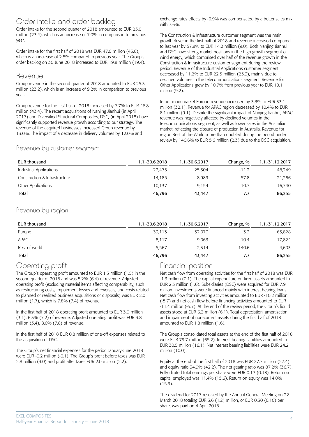#### Order intake and order backlog

Order intake for the second quarter of 2018 amounted to EUR 25.0 million (23.4), which is an increase of 7.0% in comparison to previous year.

Order intake for the first half of 2018 was EUR 47.0 million (45.8), which is an increase of 2.5% compared to previous year. The Group's order backlog on 30 June 2018 increased to EUR 19.8 million (19.4).

#### Revenue

Group revenue in the second quarter of 2018 amounted to EUR 25.3 million (23.2), which is an increase of 9.2% in comparison to previous year.

Group revenue for the first half of 2018 increased by 7.7% to EUR 46.8 million (43.4). The recent acquisitions of Nanjing Jianhui (in April 2017) and Diversified Structural Composites, DSC, (in April 2018) have significantly supported revenue growth according to our strategy. The revenue of the acquired businesses increased Group revenue by 13.0%. The impact of a decrease in delivery volumes by 12.0% and

exchange rates effects by -0.9% was compensated by a better sales mix with 7.6%.

The Construction & Infrastructure customer segment was the main growth driver in the first half of 2018 and revenue increased compared to last year by 57.8% to EUR 14.2 million (9.0). Both Nanjing Jianhui and DSC have strong market positions in the high growth segment of wind energy, which comprised over half of the revenue growth in the Construction & Infrastructure customer segment during the review period. Revenue of the Industrial Applications customer segment decreased by 11.2% to EUR 22.5 million (25.3), mainly due to declined volumes in the telecommunications segment. Revenue for Other Applications grew by 10.7% from previous year to EUR 10.1 million (9.2).

In our main market Europe revenue increased by 3.3% to EUR 33.1 million (32.1). Revenue for APAC region decreased by 10.4% to EUR 8.1 million (9.1). Despite the significant impact of Nanjing Jianhui, APAC revenue was negatively affected by declined volumes in the telecommunications segment, as well as lower sales in the Australian market, reflecting the closure of production in Australia. Revenue for region Rest of the World more than doubled during the period under review by 140.6% to EUR 5.6 million (2.3) due to the DSC acquisition.

#### Revenue by customer segment

| EUR thousand                  | 1.1.-30.6.2018 | 1.1.-30.6.2017 | Change, % | 1.1.-31.12.2017 |
|-------------------------------|----------------|----------------|-----------|-----------------|
| Industrial Applications       | 22.475         | 25.304         | $-11.2$   | 48.249          |
| Construction & Infrastructure | 14.185         | 8,989          | 57.8      | 21,266          |
| Other Applications            | 10.137         | 9.154          | 10.7      | 16,740          |
| Total                         | 46,796         | 43,447         | 7.7       | 86,255          |

#### Revenue by region

| EUR thousand  | 1.1.-30.6.2018 | 1.1.-30.6.2017 | Change, % | 1.1.-31.12.2017 |
|---------------|----------------|----------------|-----------|-----------------|
| Europe        | 33,113         | 32,070         | 3.3       | 63,828          |
| APAC          | 8,117          | 9,063          | $-10.4$   | 17,824          |
| Rest of world | 5.567          | 2.314          | 140.6     | 4,603           |
| Total         | 46,796         | 43,447         | 7.7       | 86,255          |

### Operating profit

The Group's operating profit amounted to EUR 1.3 million (1.5) in the second quarter of 2018 and was 5.2% (6.4) of revenue. Adjusted operating profit (excluding material items affecting comparability, such as restructuring costs, impairment losses and reversals, and costs related to planned or realized business acquisitions or disposals) was EUR 2.0 million (1.7), which is 7.8% (7.4) of revenue.

In the first half of 2018 operating profit amounted to EUR 3.0 million (3.1), 6.3% (7.2) of revenue. Adjusted operating profit was EUR 3.8 million (3.4), 8.0% (7.8) of revenue.

In the first half of 2018 EUR 0.8 million of one-off expenses related to the acquisition of DSC.

The Group's net financial expenses for the period January-June 2018 were EUR -0.2 million (-0.1). The Group's profit before taxes was EUR 2.8 million (3.0) and profit after taxes EUR 2.0 million (2.2).

### Financial position

Net cash flow from operating activities for the first half of 2018 was EUR -1.3 million (0.1). The capital expenditure on fixed assets amounted to EUR 2.3 million (1.6). Subsidiaries (DSC) were acquired for EUR 7.9 million. Investments were financed mainly with interest bearing loans. Net cash flow from investing activities amounted to EUR -10.2 million (-5.7) and net cash flow before financing activities amounted to EUR -11.4 million (-5.7). At the end of the review period, the Group's liquid assets stood at EUR 6.3 million (6.1). Total depreciation, amortization and impairment of non-current assets during the first half of 2018 amounted to EUR 1.8 million (1.6).

The Group's consolidated total assets at the end of the first half of 2018 were EUR 79.7 million (65.2). Interest bearing liabilities amounted to EUR 30.5 million (16.1). Net interest bearing liabilities were EUR 24.2 million (10.0).

Equity at the end of the first half of 2018 was EUR 27.7 million (27.4) and equity ratio 34.9% (42.2). The net gearing ratio was 87.2% (36.7). Fully diluted total earnings per share were EUR 0.17 (0.18). Return on capital employed was 11.4% (15.6). Return on equity was 14.0% (15.9).

The dividend for 2017 resolved by the Annual General Meeting on 22 March 2018 totaling EUR 3.6 (1.2) million, or EUR 0.30 (0.10) per share, was paid on 4 April 2018.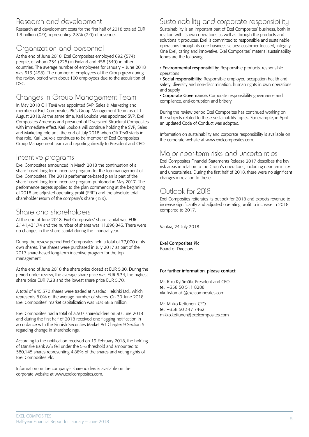#### Research and development

Research and development costs for the first half of 2018 totaled EUR 1.3 million (0.9), representing 2.8% (2.0) of revenue.

# Organization and personnel

At the end of June 2018, Exel Composites employed 692 (574) people, of whom 234 (225) in Finland and 458 (349) in other countries. The average number of employees for January – June 2018 was 613 (498). The number of employees of the Group grew during the review period with about 100 employees due to the acquisition of DSC.

## Changes in Group Management Team

In May 2018 Olli Tevä was appointed SVP, Sales & Marketing and member of Exel Composites Plc's Group Management Team as of 1 August 2018. At the same time, Kari Loukola was appointed SVP, Exel Composites Americas and president of Diversified Structural Composites with immediate effect. Kari Loukola will continue holding the SVP, Sales and Marketing role until the end of July 2018 when Olli Tevä starts in that role. Kari Loukola continues to be member of Exel Composites Group Management team and reporting directly to President and CEO.

#### Incentive programs

Exel Composites announced in March 2018 the continuation of a share-based long-term incentive program for the top management of Exel Composites. The 2018 performance-based plan is part of the share-based long-term incentive program published in May 2017. The performance targets applied to the plan commencing at the beginning of 2018 are adjusted operating profit (EBIT) and the absolute total shareholder return of the company's share (TSR).

## Share and shareholders

At the end of June 2018, Exel Composites' share capital was EUR 2,141,431.74 and the number of shares was 11,896,843. There were no changes in the share capital during the financial year.

During the review period Exel Composites held a total of 77,000 of its own shares. The shares were purchased in July 2017 as part of the 2017 share-based long-term incentive program for the top management.

At the end of June 2018 the share price closed at EUR 5.80. During the period under review, the average share price was EUR 6.34, the highest share price EUR 7.28 and the lowest share price EUR 5.70.

A total of 945,370 shares were traded at Nasdaq Helsinki Ltd., which represents 8.0% of the average number of shares. On 30 June 2018 Exel Composites' market capitalization was EUR 68.6 million.

Exel Composites had a total of 3,507 shareholders on 30 June 2018 and during the first half of 2018 received one flagging notification in accordance with the Finnish Securities Market Act Chapter 9 Section 5 regarding change in shareholdings.

According to the notification received on 19 February 2018, the holding of Danske Bank A/S fell under the 5% threshold and amounted to 580,145 shares representing 4.88% of the shares and voting rights of Exel Composites Plc.

Information on the company's shareholders is available on the corporate website at www.exelcomposites.com.

## Sustainability and corporate responsibility

Sustainability is an important part of Exel Composites' business, both in relation with its own operations as well as through the products and solutions it produces. Exel is committed to responsible and sustainable operations through its core business values: customer focused, integrity, One Exel, caring and innovative. Exel Composites' material sustainability topics are the following:

• Environmental responsibility: Responsible products, responsible operations

• Social responsibility: Responsible employer, occupation health and safety, diversity and non-discrimination, human rights in own operations and supply

• Corporate Governance: Corporate responsibility governance and compliance, anti-corruption and bribery

During the review period Exel Composites has continued working on the subjects related to these sustainability topics. For example, in April an updated Code of Conduct was adopted.

Information on sustainability and corporate responsibility is available on the corporate website at www.exelcomposites.com.

#### Major near-term risks and uncertainties

Exel Composites Financial Statements Release 2017 describes the key risk areas in relation to the Group's operations, including near-term risks and uncertainties. During the first half of 2018, there were no significant changes in relation to these.

# Outlook for 2018

Exel Composites reiterates its outlook for 2018 and expects revenue to increase significantly and adjusted operating profit to increase in 2018 compared to 2017.

Vantaa, 24 July 2018

#### Exel Composites Plc

Board of Directors

#### For further information, please contact:

Mr. Riku Kytömäki, President and CEO tel. +358 50 511 8288 riku.kytomaki@exelcomposites.com

Mr. Mikko Kettunen, CFO tel. +358 50 347 7462 mikko.kettunen@exelcomposites.com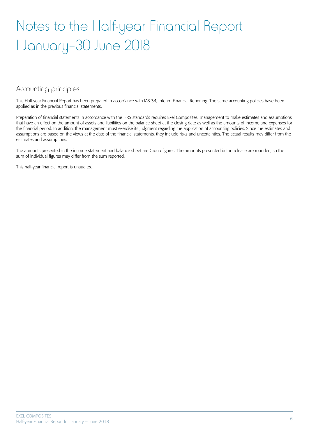# Notes to the Half-year Financial Report 1 January–30 June 2018

#### Accounting principles

This Half-year Financial Report has been prepared in accordance with IAS 34, Interim Financial Reporting. The same accounting policies have been applied as in the previous financial statements.

Preparation of financial statements in accordance with the IFRS standards requires Exel Composites' management to make estimates and assumptions that have an effect on the amount of assets and liabilities on the balance sheet at the closing date as well as the amounts of income and expenses for the financial period. In addition, the management must exercise its judgment regarding the application of accounting policies. Since the estimates and assumptions are based on the views at the date of the financial statements, they include risks and uncertainties. The actual results may differ from the estimates and assumptions.

The amounts presented in the income statement and balance sheet are Group figures. The amounts presented in the release are rounded, so the sum of individual figures may differ from the sum reported.

This half-year financial report is unaudited.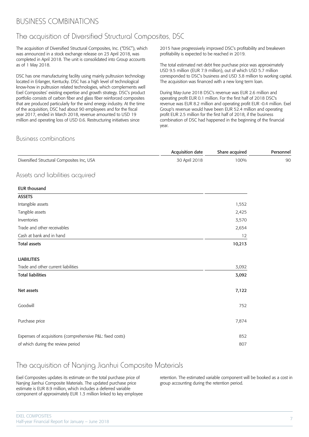## BUSINESS COMBINATIONS

### The acquisition of Diversified Structural Composites, DSC

The acquisition of Diversified Structural Composites, Inc. ("DSC"), which was announced in a stock exchange release on 23 April 2018, was completed in April 2018. The unit is consolidated into Group accounts as of 1 May 2018.

DSC has one manufacturing facility using mainly pultrusion technology located in Erlanger, Kentucky. DSC has a high level of technological know-how in pultrusion related technologies, which complements well Exel Composites' existing expertise and growth strategy. DSC's product portfolio consists of carbon fiber and glass fiber reinforced composites that are produced particularly for the wind energy industry. At the time of the acquisition, DSC had about 90 employees and for the fiscal year 2017, ended in March 2018, revenue amounted to USD 19 million and operating loss of USD 0.6. Restructuring initiatives since

2015 have progressively improved DSC's profitability and breakeven profitability is expected to be reached in 2019.

The total estimated net debt free purchase price was approximately USD 9.5 million (EUR 7.9 million), out of which USD 5.7 million corresponded to DSC's business and USD 3.8 million to working capital. The acquisition was financed with a new long term loan.

During May-June 2018 DSC's revenue was EUR 2.6 million and operating profit EUR 0.1 million. For the first half of 2018 DSC's revenue was EUR 8.2 million and operating profit EUR -0.4 million. Exel Group's revenue would have been EUR 52.4 million and operating profit EUR 2.5 million for the first half of 2018, if the business combination of DSC had happened in the beginning of the financial year.

#### Business combinations

|                                                           | Acquisition date | Share acquired | Personnel |
|-----------------------------------------------------------|------------------|----------------|-----------|
| Diversified Structural Composites Inc, USA                | 30 April 2018    | 100%           | <b>90</b> |
| Assets and liabilities acquired                           |                  |                |           |
| <b>EUR thousand</b>                                       |                  |                |           |
| <b>ASSETS</b>                                             |                  |                |           |
| Intangible assets                                         |                  | 1,552          |           |
| Tangible assets                                           |                  | 2,425          |           |
| Inventories                                               |                  | 3,570          |           |
| Trade and other receivables                               |                  | 2,654          |           |
| Cash at bank and in hand                                  |                  | 12             |           |
| <b>Total assets</b>                                       |                  | 10,213         |           |
| <b>LIABILITIES</b>                                        |                  |                |           |
| Trade and other current liabilities                       |                  | 3,092          |           |
| <b>Total liabilities</b>                                  |                  | 3,092          |           |
| Net assets                                                |                  | 7,122          |           |
| Goodwill                                                  |                  | 752            |           |
| Purchase price                                            |                  | 7,874          |           |
| Expenses of acquisitions (comprehensive P&L: fixed costs) |                  | 852            |           |
| of which during the review period                         |                  | 807            |           |

#### The acquisition of Nanjing Jianhui Composite Materials

Exel Composites updates its estimate on the total purchase price of Nanjing Jianhui Composite Materials. The updated purchase price estimate is EUR 8.9 million, which includes a deferred variable component of approximately EUR 1.3 million linked to key employee retention. The estimated variable component will be booked as a cost in group accounting during the retention period.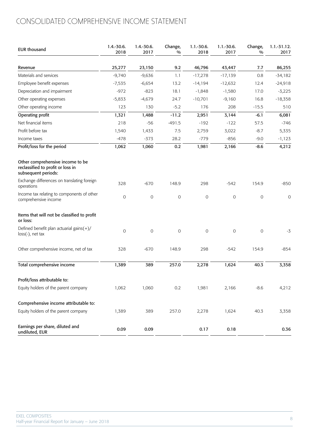# CONSOLIDATED COMPREHENSIVE INCOME STATEMENT

| <b>EUR thousand</b>                                                                          | $1.4.-30.6.$<br>2018 | 1.4.-30.6.<br>2017 | Change,<br>$\frac{0}{0}$ | $1.1 - 30.6.$<br>2018 | $1.1 - 30.6$ .<br>2017 | Change,<br>$\frac{0}{0}$ | $1.1 - 31.12.$<br>2017 |
|----------------------------------------------------------------------------------------------|----------------------|--------------------|--------------------------|-----------------------|------------------------|--------------------------|------------------------|
| Revenue                                                                                      | 25,277               | 23,150             | 9.2                      | 46,796                | 43,447                 | 7.7                      | 86,255                 |
| Materials and services                                                                       | $-9,740$             | $-9,636$           | 1.1                      | $-17,278$             | $-17,139$              | 0.8                      | $-34,182$              |
| Employee benefit expenses                                                                    | $-7,535$             | $-6,654$           | 13.2                     | $-14,194$             | $-12,632$              | 12.4                     | $-24,918$              |
| Depreciation and impairment                                                                  | $-972$               | $-823$             | 18.1                     | $-1,848$              | $-1,580$               | 17.0                     | $-3,225$               |
| Other operating expenses                                                                     | $-5,833$             | $-4,679$           | 24.7                     | $-10,701$             | $-9,160$               | 16.8                     | $-18,358$              |
| Other operating income                                                                       | 123                  | 130                | $-5.2$                   | 176                   | 208                    | $-15.5$                  | 510                    |
| Operating profit                                                                             | 1,321                | 1,488              | $-11.2$                  | 2,951                 | 3,144                  | $-6.1$                   | 6,081                  |
| Net financial items                                                                          | 218                  | $-56$              | $-491.5$                 | $-192$                | $-122$                 | 57.5                     | $-746$                 |
| Profit before tax                                                                            | 1,540                | 1,433              | 7.5                      | 2,759                 | 3,022                  | $-8.7$                   | 5,335                  |
| Income taxes                                                                                 | $-478$               | $-373$             | 28.2                     | $-779$                | $-856$                 | $-9.0$                   | $-1,123$               |
| Profit/loss for the period                                                                   | 1,062                | 1,060              | 0.2                      | 1,981                 | 2,166                  | $-8.6$                   | 4,212                  |
| Other comprehensive income to be<br>reclassified to profit or loss in<br>subsequent periods: |                      |                    |                          |                       |                        |                          |                        |
| Exchange differences on translating foreign<br>operations                                    | 328                  | $-670$             | 148.9                    | 298                   | $-542$                 | 154.9                    | $-850$                 |
| Income tax relating to components of other<br>comprehensive income                           | $\mathbf 0$          | $\mathbf 0$        | 0                        | $\mathbf 0$           | $\mathbf 0$            | $\mathbf 0$              | 0                      |
| Items that will not be classified to profit<br>or loss:                                      |                      |                    |                          |                       |                        |                          |                        |
| Defined benefit plan actuarial gains(+)/<br>$loss(-)$ , net tax                              | $\mathbf 0$          | $\mathbf 0$        | 0                        | $\mathbf 0$           | $\mathbf 0$            | $\mathbf 0$              | $-3$                   |
| Other comprehensive income, net of tax                                                       | 328                  | $-670$             | 148.9                    | 298                   | $-542$                 | 154.9                    | $-854$                 |
| Total comprehensive income                                                                   | 1,389                | 389                | 257.0                    | 2,278                 | 1,624                  | 40.3                     | 3,358                  |
| Profit/loss attributable to:                                                                 |                      |                    |                          |                       |                        |                          |                        |
| Equity holders of the parent company                                                         | 1,062                | 1,060              | 0.2                      | 1,981                 | 2,166                  | $-8.6$                   | 4,212                  |
| Comprehensive income attributable to:                                                        |                      |                    |                          |                       |                        |                          |                        |
| Equity holders of the parent company                                                         | 1,389                | 389                | 257.0                    | 2,278                 | 1,624                  | 40.3                     | 3,358                  |
| Earnings per share, diluted and<br>undiluted, EUR                                            | 0.09                 | 0.09               |                          | 0.17                  | 0.18                   |                          | 0.36                   |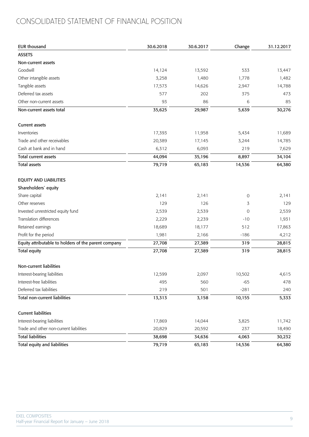# CONSOLIDATED STATEMENT OF FINANCIAL POSITION

| <b>EUR thousand</b>                                  | 30.6.2018 | 30.6.2017 | Change | 31.12.2017 |
|------------------------------------------------------|-----------|-----------|--------|------------|
| <b>ASSETS</b>                                        |           |           |        |            |
| Non-current assets                                   |           |           |        |            |
| Goodwill                                             | 14,124    | 13,592    | 533    | 13,447     |
| Other intangible assets                              | 3,258     | 1,480     | 1,778  | 1,482      |
| Tangible assets                                      | 17,573    | 14,626    | 2,947  | 14,788     |
| Deferred tax assets                                  | 577       | 202       | 375    | 473        |
| Other non-current assets                             | 93        | 86        | 6      | 85         |
| Non-current assets total                             | 35,625    | 29,987    | 5,639  | 30,276     |
| <b>Current assets</b>                                |           |           |        |            |
| Inventories                                          | 17,393    | 11,958    | 5,434  | 11,689     |
| Trade and other receivables                          | 20,389    | 17,145    | 3,244  | 14,785     |
| Cash at bank and in hand                             | 6,312     | 6,093     | 219    | 7,629      |
| <b>Total current assets</b>                          | 44,094    | 35,196    | 8,897  | 34,104     |
| <b>Total assets</b>                                  | 79,719    | 65,183    | 14,536 | 64,380     |
| <b>EQUITY AND LIABILITIES</b>                        |           |           |        |            |
| Shareholders' equity                                 |           |           |        |            |
| Share capital                                        | 2,141     | 2,141     | 0      | 2,141      |
| Other reserves                                       | 129       | 126       | 3      | 129        |
| Invested unrestricted equity fund                    | 2,539     | 2,539     | 0      | 2,539      |
| <b>Translation differences</b>                       | 2,229     | 2,239     | $-10$  | 1,931      |
| Retained earnings                                    | 18,689    | 18,177    | 512    | 17,863     |
| Profit for the period                                | 1,981     | 2,166     | $-186$ | 4,212      |
| Equity attributable to holders of the parent company | 27,708    | 27,389    | 319    | 28,815     |
| <b>Total equity</b>                                  | 27,708    | 27,389    | 319    | 28,815     |
| Non-current liabilities                              |           |           |        |            |
| Interest-bearing liabilities                         | 12,599    | 2,097     | 10,502 | 4,615      |
| Interest-free liabilities                            | 495       | 560       | $-65$  | 478        |
| Deferred tax liabilities                             | 219       | 501       | $-281$ | 240        |
| <b>Total non-current liabilities</b>                 | 13,313    | 3,158     | 10,155 | 5,333      |
| <b>Current liabilities</b>                           |           |           |        |            |
| Interest-bearing liabilities                         | 17,869    | 14,044    | 3,825  | 11,742     |
| Trade and other non-current liabilities              | 20,829    | 20,592    | 237    | 18,490     |
| <b>Total liabilities</b>                             | 38,698    | 34,636    | 4,063  | 30,232     |
| <b>Total equity and liabilities</b>                  | 79,719    | 65,183    | 14,536 | 64,380     |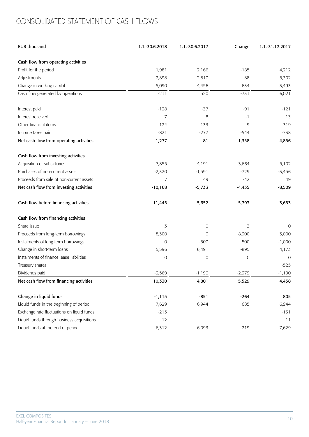# CONSOLIDATED STATEMENT OF CASH FLOWS

| EUR thousand                               | 1.1.-30.6.2018 | 1.1.-30.6.2017 | Change   | 1.1.-31.12.2017 |
|--------------------------------------------|----------------|----------------|----------|-----------------|
| Cash flow from operating activities        |                |                |          |                 |
| Profit for the period                      | 1,981          | 2,166          | $-185$   | 4,212           |
| Adjustments                                | 2,898          | 2,810          | 88       | 5,302           |
| Change in working capital                  | $-5,090$       | $-4,456$       | $-634$   | $-3,493$        |
| Cash flow generated by operations          | $-211$         | 520            | $-731$   | 6,021           |
| Interest paid                              | $-128$         | $-37$          | $-91$    | $-121$          |
| Interest received                          | $\overline{7}$ | 8              | $-1$     | 13              |
| Other financial items                      | $-124$         | $-133$         | 9        | $-319$          |
| Income taxes paid                          | $-821$         | $-277$         | $-544$   | $-738$          |
| Net cash flow from operating activities    | $-1,277$       | 81             | $-1,358$ | 4,856           |
| Cash flow from investing activities        |                |                |          |                 |
| Acquisition of subsidiaries                | $-7,855$       | $-4,191$       | $-3,664$ | $-5,102$        |
| Purchases of non-current assets            | $-2,320$       | $-1,591$       | $-729$   | $-3,456$        |
| Proceeds from sale of non-current assets   | $\overline{7}$ | 49             | $-42$    | 49              |
| Net cash flow from investing activities    | $-10,168$      | $-5,733$       | $-4,435$ | $-8,509$        |
| Cash flow before financing activities      | $-11,445$      | $-5,652$       | $-5,793$ | $-3,653$        |
| Cash flow from financing activities        |                |                |          |                 |
| Share issue                                | 3              | 0              | 3        | 0               |
| Proceeds from long-term borrowings         | 8,300          | 0              | 8,300    | 3,000           |
| Instalments of long-term borrowings        | $\mathbf 0$    | $-500$         | 500      | $-1,000$        |
| Change in short-term loans                 | 5,596          | 6,491          | $-895$   | 4,173           |
| Instalments of finance lease liabilities   | $\mathbf 0$    | 0              | 0        | 0               |
| Treasury shares                            |                |                |          | $-525$          |
| Dividends paid                             | $-3,569$       | $-1,190$       | $-2,379$ | $-1,190$        |
| Net cash flow from financing activities    | 10,330         | 4,801          | 5,529    | 4,458           |
| Change in liquid funds                     | $-1,115$       | $-851$         | $-264$   | 805             |
| Liquid funds in the beginning of period    | 7,629          | 6,944          | 685      | 6,944           |
| Exchange rate fluctuations on liquid funds | $-215$         |                |          | $-131$          |
| Liquid funds through business acquisitions | 12             |                |          | 11              |
| Liquid funds at the end of period          | 6,312          | 6,093          | 219      | 7,629           |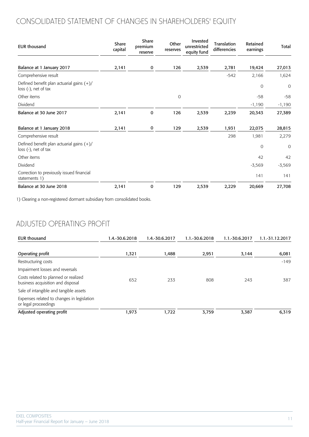# CONSOLIDATED STATEMENT OF CHANGES IN SHAREHOLDERS' EQUITY

| <b>EUR thousand</b>                                                    | Share<br>capital | Share<br>premium<br>reserve | Other<br>reserves | Invested<br>unrestricted<br>equity fund | Translation<br>differencies | Retained<br>earnings | Total       |
|------------------------------------------------------------------------|------------------|-----------------------------|-------------------|-----------------------------------------|-----------------------------|----------------------|-------------|
| Balance at 1 January 2017                                              | 2,141            | 0                           | 126               | 2,539                                   | 2,781                       | 19,424               | 27,013      |
| Comprehensive result                                                   |                  |                             |                   |                                         | $-542$                      | 2,166                | 1,624       |
| Defined benefit plan actuarial gains $(+)/$<br>$loss (-)$ , net of tax |                  |                             |                   |                                         |                             | 0                    | $\mathbf 0$ |
| Other items                                                            |                  |                             | 0                 |                                         |                             | $-58$                | $-58$       |
| Dividend                                                               |                  |                             |                   |                                         |                             | $-1,190$             | $-1,190$    |
| Balance at 30 June 2017                                                | 2,141            | $\mathbf 0$                 | 126               | 2,539                                   | 2,239                       | 20,343               | 27,389      |
| Balance at 1 January 2018                                              | 2,141            | 0                           | 129               | 2,539                                   | 1,931                       | 22,075               | 28,815      |
| Comprehensive result                                                   |                  |                             |                   |                                         | 298                         | 1,981                | 2,279       |
| Defined benefit plan actuarial gains $(+)/$<br>$loss (-)$ , net of tax |                  |                             |                   |                                         |                             | $\mathbf{0}$         | 0           |
| Other items                                                            |                  |                             |                   |                                         |                             | 42                   | 42          |
| Dividend                                                               |                  |                             |                   |                                         |                             | $-3,569$             | $-3,569$    |
| Correction to previously issued financial<br>statements 1)             |                  |                             |                   |                                         |                             | 141                  | 141         |
| Balance at 30 June 2018                                                | 2,141            | 0                           | 129               | 2,539                                   | 2,229                       | 20,669               | 27,708      |

1) Clearing a non-registered dormant subsidiary from consolidated books.

## ADJUSTED OPERATING PROFIT

| EUR thousand                                                              | 1.4.-30.6.2018 | 1.4.-30.6.2017 | 1.1.-30.6.2018 | 1.1.-30.6.2017 | 1.1.-31.12.2017 |
|---------------------------------------------------------------------------|----------------|----------------|----------------|----------------|-----------------|
| Operating profit                                                          | 1,321          | 1,488          | 2,951          | 3,144          | 6,081           |
| Restructuring costs                                                       |                |                |                |                | $-149$          |
| Impairment losses and reversals                                           |                |                |                |                |                 |
| Costs related to planned or realized<br>business acquisition and disposal | 652            | 233            | 808            | 243            | 387             |
| Sale of intangible and tangible assets                                    |                |                |                |                |                 |
| Expenses related to changes in legislation<br>or legal proceedings        |                |                |                |                |                 |
| Adjusted operating profit                                                 | 1,973          | 1,722          | 3,759          | 3,387          | 6,319           |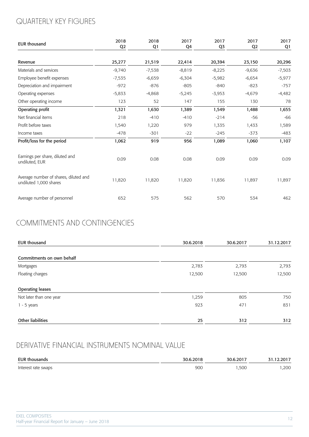# QUARTERLY KEY FIGURES

| <b>EUR thousand</b>                                             | 2018<br>Q <sub>2</sub> | 2018<br>Q1 | 2017<br>Q4 | 2017<br>Q3 | 2017<br>Q <sub>2</sub> | 2017<br>Q1 |
|-----------------------------------------------------------------|------------------------|------------|------------|------------|------------------------|------------|
| Revenue                                                         | 25,277                 | 21,519     | 22,414     | 20,394     | 23,150                 | 20,296     |
| Materials and services                                          | $-9,740$               | $-7,538$   | $-8,819$   | $-8,225$   | $-9,636$               | $-7,503$   |
| Employee benefit expenses                                       | $-7,535$               | $-6,659$   | $-6,304$   | $-5,982$   | $-6,654$               | $-5,977$   |
| Depreciation and impairment                                     | $-972$                 | $-876$     | $-805$     | $-840$     | $-823$                 | $-757$     |
| Operating expenses                                              | $-5,833$               | $-4,868$   | $-5,245$   | $-3,953$   | $-4,679$               | $-4,482$   |
| Other operating income                                          | 123                    | 52         | 147        | 155        | 130                    | 78         |
| Operating profit                                                | 1,321                  | 1,630      | 1,389      | 1,549      | 1,488                  | 1,655      |
| Net financial items                                             | 218                    | $-410$     | $-410$     | $-214$     | $-56$                  | $-66$      |
| Profit before taxes                                             | 1,540                  | 1,220      | 979        | 1,335      | 1,433                  | 1,589      |
| Income taxes                                                    | $-478$                 | $-301$     | $-22$      | $-245$     | $-373$                 | $-483$     |
| Profit/loss for the period                                      | 1,062                  | 919        | 956        | 1,089      | 1,060                  | 1,107      |
| Earnings per share, diluted and<br>undiluted, EUR               | 0.09                   | 0.08       | 0.08       | 0.09       | 0.09                   | 0.09       |
| Average number of shares, diluted and<br>undiluted 1,000 shares | 11,820                 | 11,820     | 11,820     | 11,836     | 11,897                 | 11,897     |
| Average number of personnel                                     | 652                    | 575        | 562        | 570        | 534                    | 462        |

# COMMITMENTS AND CONTINGENCIES

| <b>EUR thousand</b>       | 30.6.2018 | 30.6.2017 | 31.12.2017 |
|---------------------------|-----------|-----------|------------|
| Commitments on own behalf |           |           |            |
| Mortgages                 | 2,783     | 2,793     | 2,793      |
| Floating charges          | 12,500    | 12,500    | 12,500     |
| <b>Operating leases</b>   |           |           |            |
| Not later than one year   | 1,259     | 805       | 750        |
| $1 - 5$ years             | 923       | 471       | 831        |
| <b>Other liabilities</b>  | 25        | 312       | 312        |

## DERIVATIVE FINANCIAL INSTRUMENTS NOMINAL VALUE

| <b>EUR thousands</b> | 30.6.2018 | 30.6.2017 | 31.12.2017 |
|----------------------|-----------|-----------|------------|
| Interest rate swaps  | 900       | ,500      | ,200       |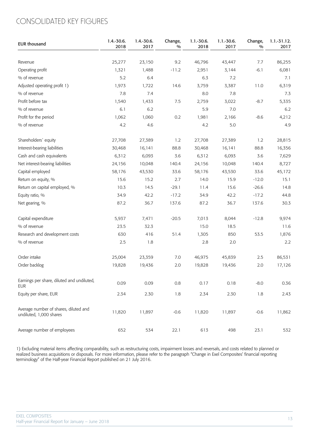## CONSOLIDATED KEY FIGURES

| <b>EUR thousand</b>                                              | $1.4.-30.6.$<br>2018 | $1.4.-30.6.$<br>2017 | Change,<br>$\frac{0}{0}$ | $1.1 - 30.6$ .<br>2018 | $1.1 - 30.6.$<br>2017 | Change,<br>$\frac{0}{0}$ | $1.1 - 31.12.$<br>2017 |
|------------------------------------------------------------------|----------------------|----------------------|--------------------------|------------------------|-----------------------|--------------------------|------------------------|
| Revenue                                                          | 25,277               | 23,150               | 9.2                      | 46,796                 | 43,447                | 7.7                      | 86,255                 |
| Operating profit                                                 | 1,321                | 1,488                | $-11.2$                  | 2,951                  | 3,144                 | $-6.1$                   | 6,081                  |
| % of revenue                                                     | 5.2                  | 6.4                  |                          | 6.3                    | 7.2                   |                          | 7.1                    |
| Adjusted operating profit 1)                                     | 1,973                | 1,722                | 14.6                     | 3,759                  | 3,387                 | 11.0                     | 6,319                  |
| % of revenue                                                     | 7.8                  | 7.4                  |                          | 8.0                    | 7.8                   |                          | 7.3                    |
| Profit before tax                                                | 1,540                | 1,433                | $7.5\,$                  | 2,759                  | 3,022                 | $-8.7$                   | 5,335                  |
| % of revenue                                                     | 6.1                  | 6.2                  |                          | 5.9                    | 7.0                   |                          | 6.2                    |
| Profit for the period                                            | 1,062                | 1,060                | 0.2                      | 1,981                  | 2,166                 | $-8.6$                   | 4,212                  |
| % of revenue                                                     | 4.2                  | 4.6                  |                          | 4.2                    | 5.0                   |                          | 4.9                    |
| Shareholders' equity                                             | 27,708               | 27,389               | 1.2                      | 27,708                 | 27,389                | 1.2                      | 28,815                 |
| Interest-bearing liabilities                                     | 30,468               | 16,141               | 88.8                     | 30,468                 | 16,141                | 88.8                     | 16,356                 |
| Cash and cash equivalents                                        | 6,312                | 6,093                | 3.6                      | 6,312                  | 6,093                 | 3.6                      | 7,629                  |
| Net interest-bearing liabilities                                 | 24,156               | 10,048               | 140.4                    | 24,156                 | 10,048                | 140.4                    | 8,727                  |
| Capital employed                                                 | 58,176               | 43,530               | 33.6                     | 58,176                 | 43,530                | 33.6                     | 45,172                 |
| Return on equity, %                                              | 15.6                 | 15.2                 | 2.7                      | 14.0                   | 15.9                  | $-12.0$                  | 15.1                   |
| Return on capital employed, %                                    | 10.3                 | 14.5                 | $-29.1$                  | 11.4                   | 15.6                  | $-26.6$                  | 14.8                   |
| Equity ratio, %                                                  | 34.9                 | 42.2                 | $-17.2$                  | 34.9                   | 42.2                  | $-17.2$                  | 44.8                   |
| Net gearing, %                                                   | 87.2                 | 36.7                 | 137.6                    | 87.2                   | 36.7                  | 137.6                    | 30.3                   |
| Capital expenditure                                              | 5,937                | 7,471                | $-20.5$                  | 7,013                  | 8,044                 | $-12.8$                  | 9,974                  |
| % of revenue                                                     | 23.5                 | 32.3                 |                          | 15.0                   | 18.5                  |                          | 11.6                   |
| Research and development costs                                   | 630                  | 416                  | 51.4                     | 1,305                  | 850                   | 53.5                     | 1,876                  |
| % of revenue                                                     | 2.5                  | 1.8                  |                          | 2.8                    | 2.0                   |                          | 2.2                    |
| Order intake                                                     | 25,004               | 23,359               | 7.0                      | 46,975                 | 45,839                | $2.5\,$                  | 86,531                 |
| Order backlog                                                    | 19,828               | 19,436               | 2.0                      | 19,828                 | 19,436                | 2.0                      | 17,126                 |
| Earnings per share, diluted and undiluted,<br>EUR                | 0.09                 | 0.09                 | 0.8                      | 0.17                   | 0.18                  | $-8.0$                   | 0.36                   |
| Equity per share, EUR                                            | 2.34                 | 2.30                 | 1.8                      | 2.34                   | 2.30                  | 1.8                      | 2.43                   |
| Average number of shares, diluted and<br>undiluted, 1,000 shares | 11,820               | 11,897               | $-0.6$                   | 11,820                 | 11,897                | $-0.6$                   | 11,862                 |
| Average number of employees                                      | 652                  | 534                  | 22.1                     | 613                    | 498                   | 23.1                     | 532                    |

1) Excluding material items affecting comparability, such as restructuring costs, impairment losses and reversals, and costs related to planned or realized business acquisitions or disposals. For more information, please refer to the paragraph "Change in Exel Composites' financial reporting terminology" of the Half-year Financial Report published on 21 July 2016.